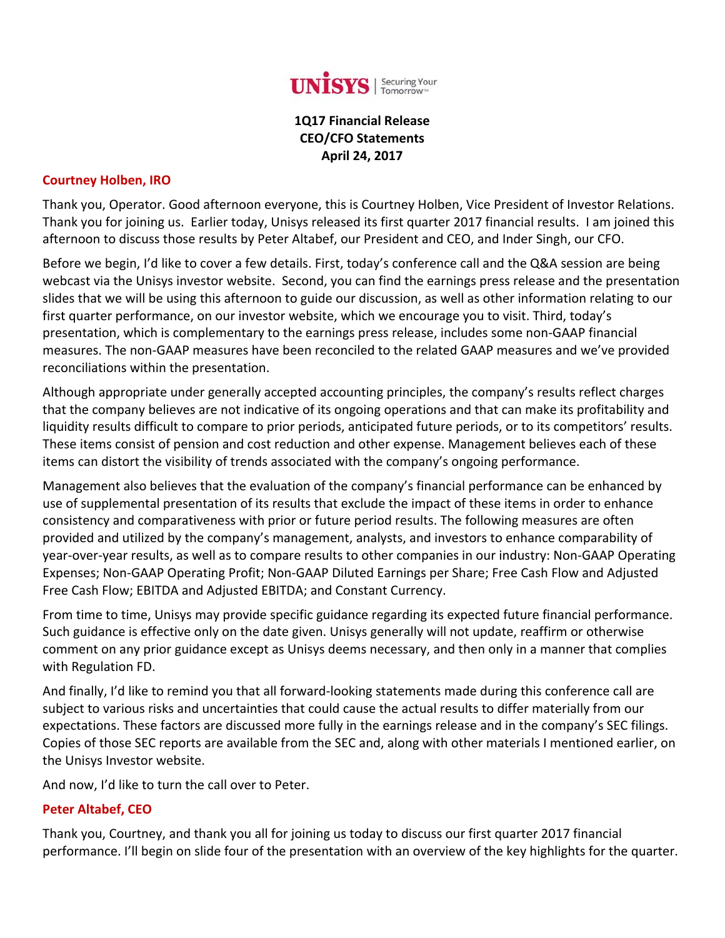

# **1Q17 Financial Release CEO/CFO Statements April 24, 2017**

#### **Courtney Holben, IRO**

Thank you, Operator. Good afternoon everyone, this is Courtney Holben, Vice President of Investor Relations. Thank you for joining us. Earlier today, Unisys released its first quarter 2017 financial results. I am joined this afternoon to discuss those results by Peter Altabef, our President and CEO, and Inder Singh, our CFO.

Before we begin, I'd like to cover a few details. First, today's conference call and the Q&A session are being webcast via the Unisys investor website. Second, you can find the earnings press release and the presentation slides that we will be using this afternoon to guide our discussion, as well as other information relating to our first quarter performance, on our investor website, which we encourage you to visit. Third, today's presentation, which is complementary to the earnings press release, includes some non‐GAAP financial measures. The non‐GAAP measures have been reconciled to the related GAAP measures and we've provided reconciliations within the presentation.

Although appropriate under generally accepted accounting principles, the company's results reflect charges that the company believes are not indicative of its ongoing operations and that can make its profitability and liquidity results difficult to compare to prior periods, anticipated future periods, or to its competitors' results. These items consist of pension and cost reduction and other expense. Management believes each of these items can distort the visibility of trends associated with the company's ongoing performance.

Management also believes that the evaluation of the company's financial performance can be enhanced by use of supplemental presentation of its results that exclude the impact of these items in order to enhance consistency and comparativeness with prior or future period results. The following measures are often provided and utilized by the company's management, analysts, and investors to enhance comparability of year‐over‐year results, as well as to compare results to other companies in our industry: Non‐GAAP Operating Expenses; Non‐GAAP Operating Profit; Non‐GAAP Diluted Earnings per Share; Free Cash Flow and Adjusted Free Cash Flow; EBITDA and Adjusted EBITDA; and Constant Currency.

From time to time, Unisys may provide specific guidance regarding its expected future financial performance. Such guidance is effective only on the date given. Unisys generally will not update, reaffirm or otherwise comment on any prior guidance except as Unisys deems necessary, and then only in a manner that complies with Regulation FD.

And finally, I'd like to remind you that all forward-looking statements made during this conference call are subject to various risks and uncertainties that could cause the actual results to differ materially from our expectations. These factors are discussed more fully in the earnings release and in the company's SEC filings. Copies of those SEC reports are available from the SEC and, along with other materials I mentioned earlier, on the Unisys Investor website.

And now, I'd like to turn the call over to Peter.

### **Peter Altabef, CEO**

Thank you, Courtney, and thank you all for joining us today to discuss our first quarter 2017 financial performance. I'll begin on slide four of the presentation with an overview of the key highlights for the quarter.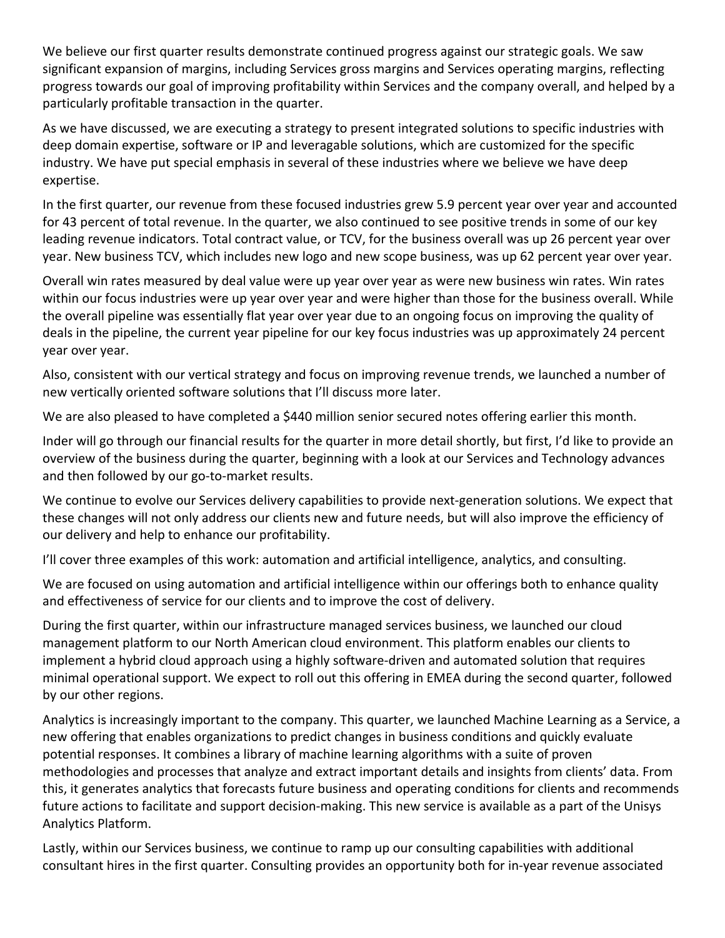We believe our first quarter results demonstrate continued progress against our strategic goals. We saw significant expansion of margins, including Services gross margins and Services operating margins, reflecting progress towards our goal of improving profitability within Services and the company overall, and helped by a particularly profitable transaction in the quarter.

As we have discussed, we are executing a strategy to present integrated solutions to specific industries with deep domain expertise, software or IP and leveragable solutions, which are customized for the specific industry. We have put special emphasis in several of these industries where we believe we have deep expertise.

In the first quarter, our revenue from these focused industries grew 5.9 percent year over year and accounted for 43 percent of total revenue. In the quarter, we also continued to see positive trends in some of our key leading revenue indicators. Total contract value, or TCV, for the business overall was up 26 percent year over year. New business TCV, which includes new logo and new scope business, was up 62 percent year over year.

Overall win rates measured by deal value were up year over year as were new business win rates. Win rates within our focus industries were up year over year and were higher than those for the business overall. While the overall pipeline was essentially flat year over year due to an ongoing focus on improving the quality of deals in the pipeline, the current year pipeline for our key focus industries was up approximately 24 percent year over year.

Also, consistent with our vertical strategy and focus on improving revenue trends, we launched a number of new vertically oriented software solutions that I'll discuss more later.

We are also pleased to have completed a \$440 million senior secured notes offering earlier this month.

Inder will go through our financial results for the quarter in more detail shortly, but first, I'd like to provide an overview of the business during the quarter, beginning with a look at our Services and Technology advances and then followed by our go-to-market results.

We continue to evolve our Services delivery capabilities to provide next-generation solutions. We expect that these changes will not only address our clients new and future needs, but will also improve the efficiency of our delivery and help to enhance our profitability.

I'll cover three examples of this work: automation and artificial intelligence, analytics, and consulting.

We are focused on using automation and artificial intelligence within our offerings both to enhance quality and effectiveness of service for our clients and to improve the cost of delivery.

During the first quarter, within our infrastructure managed services business, we launched our cloud management platform to our North American cloud environment. This platform enables our clients to implement a hybrid cloud approach using a highly software‐driven and automated solution that requires minimal operational support. We expect to roll out this offering in EMEA during the second quarter, followed by our other regions.

Analytics is increasingly important to the company. This quarter, we launched Machine Learning as a Service, a new offering that enables organizations to predict changes in business conditions and quickly evaluate potential responses. It combines a library of machine learning algorithms with a suite of proven methodologies and processes that analyze and extract important details and insights from clients' data. From this, it generates analytics that forecasts future business and operating conditions for clients and recommends future actions to facilitate and support decision‐making. This new service is available as a part of the Unisys Analytics Platform.

Lastly, within our Services business, we continue to ramp up our consulting capabilities with additional consultant hires in the first quarter. Consulting provides an opportunity both for in‐year revenue associated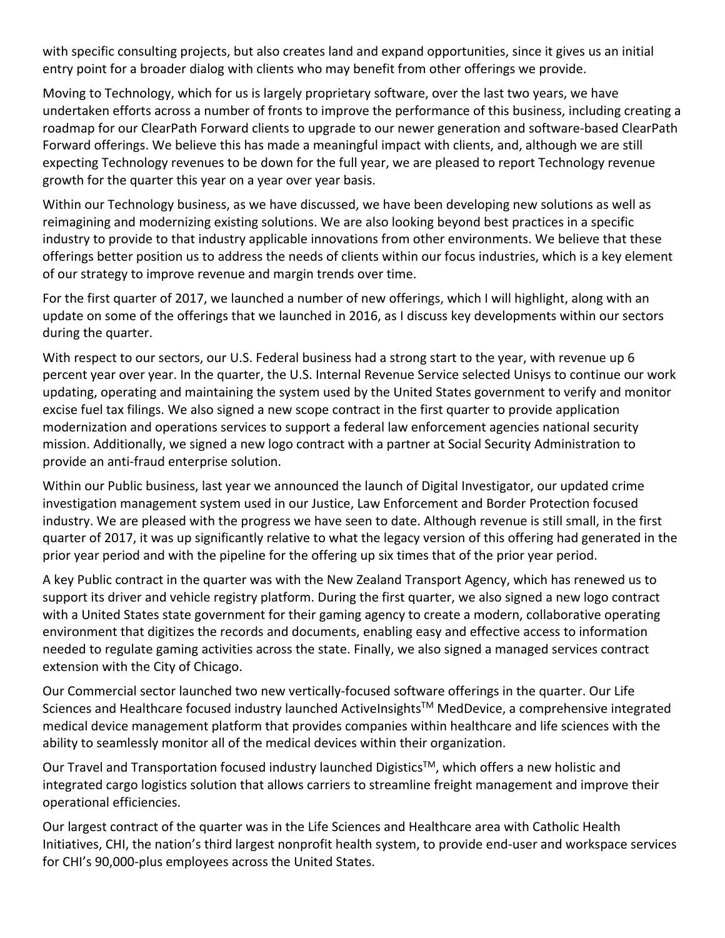with specific consulting projects, but also creates land and expand opportunities, since it gives us an initial entry point for a broader dialog with clients who may benefit from other offerings we provide.

Moving to Technology, which for us is largely proprietary software, over the last two years, we have undertaken efforts across a number of fronts to improve the performance of this business, including creating a roadmap for our ClearPath Forward clients to upgrade to our newer generation and software‐based ClearPath Forward offerings. We believe this has made a meaningful impact with clients, and, although we are still expecting Technology revenues to be down for the full year, we are pleased to report Technology revenue growth for the quarter this year on a year over year basis.

Within our Technology business, as we have discussed, we have been developing new solutions as well as reimagining and modernizing existing solutions. We are also looking beyond best practices in a specific industry to provide to that industry applicable innovations from other environments. We believe that these offerings better position us to address the needs of clients within our focus industries, which is a key element of our strategy to improve revenue and margin trends over time.

For the first quarter of 2017, we launched a number of new offerings, which I will highlight, along with an update on some of the offerings that we launched in 2016, as I discuss key developments within our sectors during the quarter.

With respect to our sectors, our U.S. Federal business had a strong start to the year, with revenue up 6 percent year over year. In the quarter, the U.S. Internal Revenue Service selected Unisys to continue our work updating, operating and maintaining the system used by the United States government to verify and monitor excise fuel tax filings. We also signed a new scope contract in the first quarter to provide application modernization and operations services to support a federal law enforcement agencies national security mission. Additionally, we signed a new logo contract with a partner at Social Security Administration to provide an anti‐fraud enterprise solution.

Within our Public business, last year we announced the launch of Digital Investigator, our updated crime investigation management system used in our Justice, Law Enforcement and Border Protection focused industry. We are pleased with the progress we have seen to date. Although revenue is still small, in the first quarter of 2017, it was up significantly relative to what the legacy version of this offering had generated in the prior year period and with the pipeline for the offering up six times that of the prior year period.

A key Public contract in the quarter was with the New Zealand Transport Agency, which has renewed us to support its driver and vehicle registry platform. During the first quarter, we also signed a new logo contract with a United States state government for their gaming agency to create a modern, collaborative operating environment that digitizes the records and documents, enabling easy and effective access to information needed to regulate gaming activities across the state. Finally, we also signed a managed services contract extension with the City of Chicago.

Our Commercial sector launched two new vertically‐focused software offerings in the quarter. Our Life Sciences and Healthcare focused industry launched ActiveInsights™ MedDevice, a comprehensive integrated medical device management platform that provides companies within healthcare and life sciences with the ability to seamlessly monitor all of the medical devices within their organization.

Our Travel and Transportation focused industry launched Digistics™, which offers a new holistic and integrated cargo logistics solution that allows carriers to streamline freight management and improve their operational efficiencies.

Our largest contract of the quarter was in the Life Sciences and Healthcare area with Catholic Health Initiatives, CHI, the nation's third largest nonprofit health system, to provide end-user and workspace services for CHI's 90,000‐plus employees across the United States.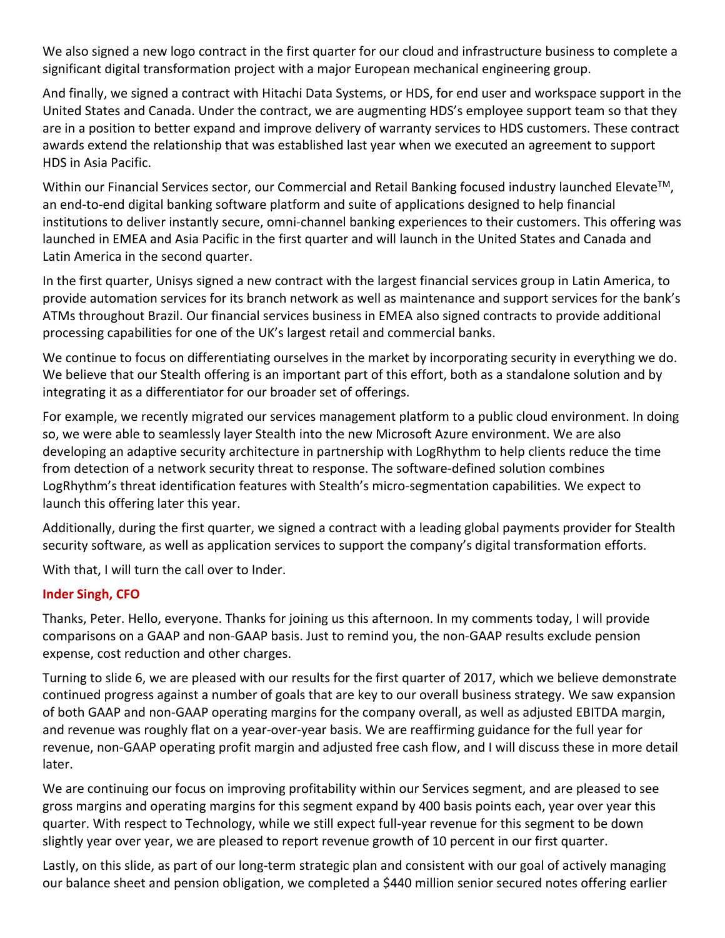We also signed a new logo contract in the first quarter for our cloud and infrastructure business to complete a significant digital transformation project with a major European mechanical engineering group.

And finally, we signed a contract with Hitachi Data Systems, or HDS, for end user and workspace support in the United States and Canada. Under the contract, we are augmenting HDS's employee support team so that they are in a position to better expand and improve delivery of warranty services to HDS customers. These contract awards extend the relationship that was established last year when we executed an agreement to support HDS in Asia Pacific.

Within our Financial Services sector, our Commercial and Retail Banking focused industry launched Elevate<sup>TM</sup>, an end-to-end digital banking software platform and suite of applications designed to help financial institutions to deliver instantly secure, omni‐channel banking experiences to their customers. This offering was launched in EMEA and Asia Pacific in the first quarter and will launch in the United States and Canada and Latin America in the second quarter.

In the first quarter, Unisys signed a new contract with the largest financial services group in Latin America, to provide automation services for its branch network as well as maintenance and support services for the bank's ATMs throughout Brazil. Our financial services business in EMEA also signed contracts to provide additional processing capabilities for one of the UK's largest retail and commercial banks.

We continue to focus on differentiating ourselves in the market by incorporating security in everything we do. We believe that our Stealth offering is an important part of this effort, both as a standalone solution and by integrating it as a differentiator for our broader set of offerings.

For example, we recently migrated our services management platform to a public cloud environment. In doing so, we were able to seamlessly layer Stealth into the new Microsoft Azure environment. We are also developing an adaptive security architecture in partnership with LogRhythm to help clients reduce the time from detection of a network security threat to response. The software-defined solution combines LogRhythm's threat identification features with Stealth's micro‐segmentation capabilities. We expect to launch this offering later this year.

Additionally, during the first quarter, we signed a contract with a leading global payments provider for Stealth security software, as well as application services to support the company's digital transformation efforts.

With that, I will turn the call over to Inder.

## **Inder Singh, CFO**

Thanks, Peter. Hello, everyone. Thanks for joining us this afternoon. In my comments today, I will provide comparisons on a GAAP and non‐GAAP basis. Just to remind you, the non‐GAAP results exclude pension expense, cost reduction and other charges.

Turning to slide 6, we are pleased with our results for the first quarter of 2017, which we believe demonstrate continued progress against a number of goals that are key to our overall business strategy. We saw expansion of both GAAP and non‐GAAP operating margins for the company overall, as well as adjusted EBITDA margin, and revenue was roughly flat on a year‐over‐year basis. We are reaffirming guidance for the full year for revenue, non‐GAAP operating profit margin and adjusted free cash flow, and I will discuss these in more detail later.

We are continuing our focus on improving profitability within our Services segment, and are pleased to see gross margins and operating margins for this segment expand by 400 basis points each, year over year this quarter. With respect to Technology, while we still expect full‐year revenue for this segment to be down slightly year over year, we are pleased to report revenue growth of 10 percent in our first quarter.

Lastly, on this slide, as part of our long-term strategic plan and consistent with our goal of actively managing our balance sheet and pension obligation, we completed a \$440 million senior secured notes offering earlier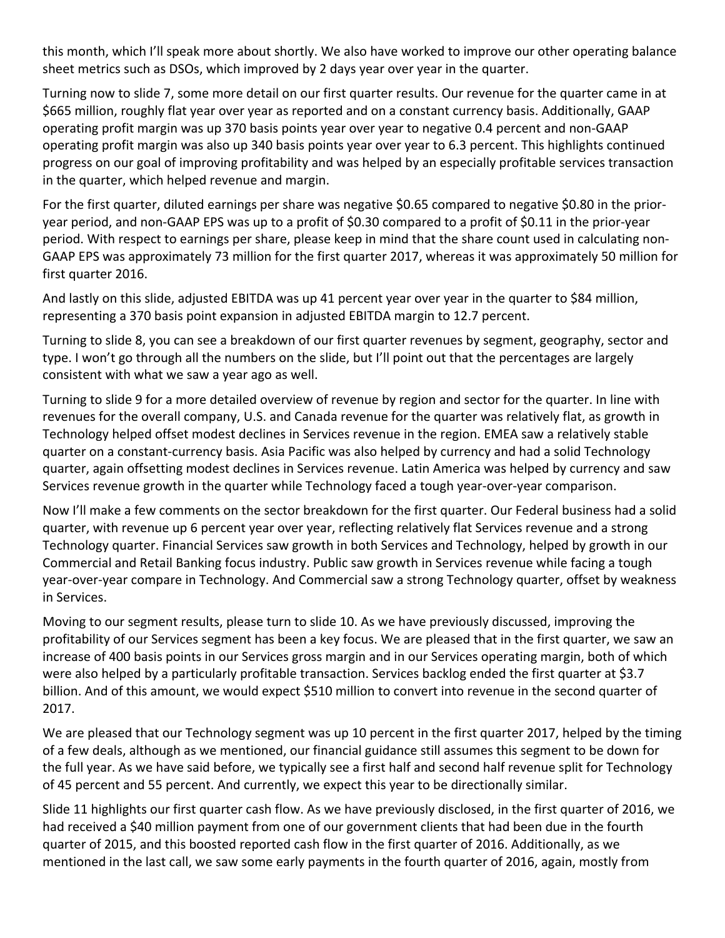this month, which I'll speak more about shortly. We also have worked to improve our other operating balance sheet metrics such as DSOs, which improved by 2 days year over year in the quarter.

Turning now to slide 7, some more detail on our first quarter results. Our revenue for the quarter came in at \$665 million, roughly flat year over year as reported and on a constant currency basis. Additionally, GAAP operating profit margin was up 370 basis points year over year to negative 0.4 percent and non‐GAAP operating profit margin was also up 340 basis points year over year to 6.3 percent. This highlights continued progress on our goal of improving profitability and was helped by an especially profitable services transaction in the quarter, which helped revenue and margin.

For the first quarter, diluted earnings per share was negative \$0.65 compared to negative \$0.80 in the prior‐ year period, and non‐GAAP EPS was up to a profit of \$0.30 compared to a profit of \$0.11 in the prior‐year period. With respect to earnings per share, please keep in mind that the share count used in calculating non‐ GAAP EPS was approximately 73 million for the first quarter 2017, whereas it was approximately 50 million for first quarter 2016.

And lastly on this slide, adjusted EBITDA was up 41 percent year over year in the quarter to \$84 million, representing a 370 basis point expansion in adjusted EBITDA margin to 12.7 percent.

Turning to slide 8, you can see a breakdown of our first quarter revenues by segment, geography, sector and type. I won't go through all the numbers on the slide, but I'll point out that the percentages are largely consistent with what we saw a year ago as well.

Turning to slide 9 for a more detailed overview of revenue by region and sector for the quarter. In line with revenues for the overall company, U.S. and Canada revenue for the quarter was relatively flat, as growth in Technology helped offset modest declines in Services revenue in the region. EMEA saw a relatively stable quarter on a constant‐currency basis. Asia Pacific was also helped by currency and had a solid Technology quarter, again offsetting modest declines in Services revenue. Latin America was helped by currency and saw Services revenue growth in the quarter while Technology faced a tough year-over-year comparison.

Now I'll make a few comments on the sector breakdown for the first quarter. Our Federal business had a solid quarter, with revenue up 6 percent year over year, reflecting relatively flat Services revenue and a strong Technology quarter. Financial Services saw growth in both Services and Technology, helped by growth in our Commercial and Retail Banking focus industry. Public saw growth in Services revenue while facing a tough year‐over‐year compare in Technology. And Commercial saw a strong Technology quarter, offset by weakness in Services.

Moving to our segment results, please turn to slide 10. As we have previously discussed, improving the profitability of our Services segment has been a key focus. We are pleased that in the first quarter, we saw an increase of 400 basis points in our Services gross margin and in our Services operating margin, both of which were also helped by a particularly profitable transaction. Services backlog ended the first quarter at \$3.7 billion. And of this amount, we would expect \$510 million to convert into revenue in the second quarter of 2017.

We are pleased that our Technology segment was up 10 percent in the first quarter 2017, helped by the timing of a few deals, although as we mentioned, our financial guidance still assumes this segment to be down for the full year. As we have said before, we typically see a first half and second half revenue split for Technology of 45 percent and 55 percent. And currently, we expect this year to be directionally similar.

Slide 11 highlights our first quarter cash flow. As we have previously disclosed, in the first quarter of 2016, we had received a \$40 million payment from one of our government clients that had been due in the fourth quarter of 2015, and this boosted reported cash flow in the first quarter of 2016. Additionally, as we mentioned in the last call, we saw some early payments in the fourth quarter of 2016, again, mostly from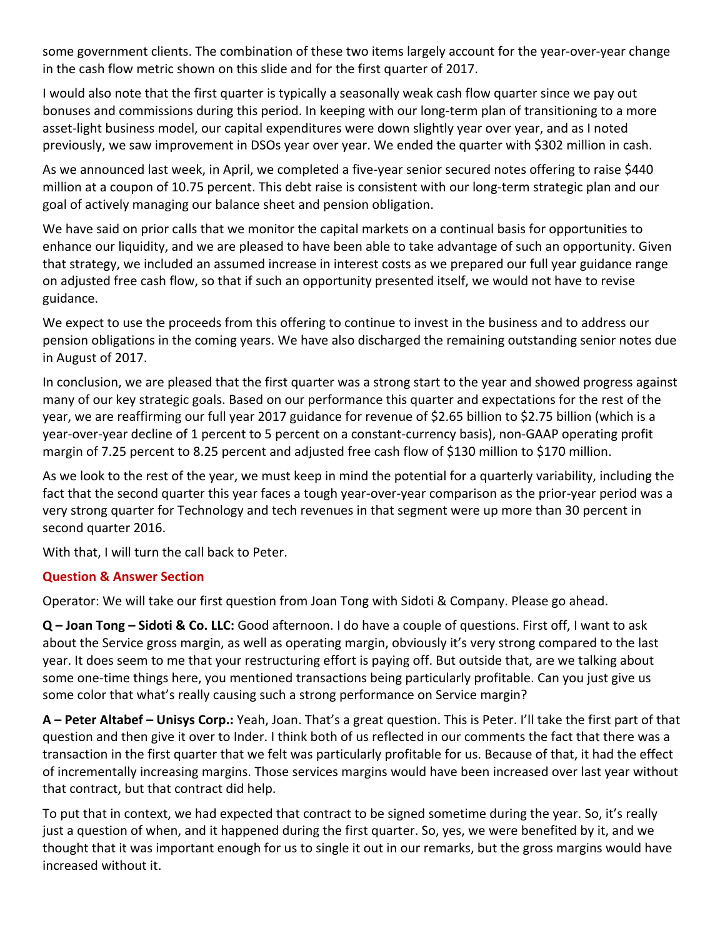some government clients. The combination of these two items largely account for the year-over-year change in the cash flow metric shown on this slide and for the first quarter of 2017.

I would also note that the first quarter is typically a seasonally weak cash flow quarter since we pay out bonuses and commissions during this period. In keeping with our long-term plan of transitioning to a more asset‐light business model, our capital expenditures were down slightly year over year, and as I noted previously, we saw improvement in DSOs year over year. We ended the quarter with \$302 million in cash.

As we announced last week, in April, we completed a five-year senior secured notes offering to raise \$440 million at a coupon of 10.75 percent. This debt raise is consistent with our long‐term strategic plan and our goal of actively managing our balance sheet and pension obligation.

We have said on prior calls that we monitor the capital markets on a continual basis for opportunities to enhance our liquidity, and we are pleased to have been able to take advantage of such an opportunity. Given that strategy, we included an assumed increase in interest costs as we prepared our full year guidance range on adjusted free cash flow, so that if such an opportunity presented itself, we would not have to revise guidance.

We expect to use the proceeds from this offering to continue to invest in the business and to address our pension obligations in the coming years. We have also discharged the remaining outstanding senior notes due in August of 2017.

In conclusion, we are pleased that the first quarter was a strong start to the year and showed progress against many of our key strategic goals. Based on our performance this quarter and expectations for the rest of the year, we are reaffirming our full year 2017 guidance for revenue of \$2.65 billion to \$2.75 billion (which is a year-over-year decline of 1 percent to 5 percent on a constant-currency basis), non-GAAP operating profit margin of 7.25 percent to 8.25 percent and adjusted free cash flow of \$130 million to \$170 million.

As we look to the rest of the year, we must keep in mind the potential for a quarterly variability, including the fact that the second quarter this year faces a tough year‐over‐year comparison as the prior‐year period was a very strong quarter for Technology and tech revenues in that segment were up more than 30 percent in second quarter 2016.

With that, I will turn the call back to Peter.

## **Question & Answer Section**

Operator: We will take our first question from Joan Tong with Sidoti & Company. Please go ahead.

**Q – Joan Tong – Sidoti & Co. LLC:** Good afternoon. I do have a couple of questions. First off, I want to ask about the Service gross margin, as well as operating margin, obviously it's very strong compared to the last year. It does seem to me that your restructuring effort is paying off. But outside that, are we talking about some one-time things here, you mentioned transactions being particularly profitable. Can you just give us some color that what's really causing such a strong performance on Service margin?

**A – Peter Altabef – Unisys Corp.:** Yeah, Joan. That's a great question. This is Peter. I'll take the first part of that question and then give it over to Inder. I think both of us reflected in our comments the fact that there was a transaction in the first quarter that we felt was particularly profitable for us. Because of that, it had the effect of incrementally increasing margins. Those services margins would have been increased over last year without that contract, but that contract did help.

To put that in context, we had expected that contract to be signed sometime during the year. So, it's really just a question of when, and it happened during the first quarter. So, yes, we were benefited by it, and we thought that it was important enough for us to single it out in our remarks, but the gross margins would have increased without it.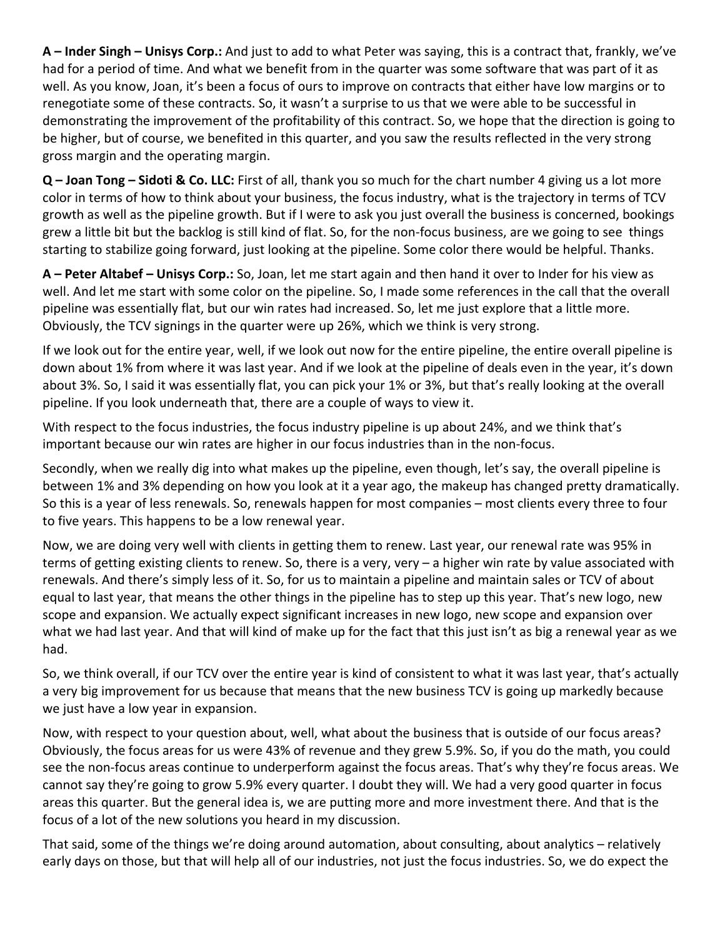**A – Inder Singh – Unisys Corp.:** And just to add to what Peter was saying, this is a contract that, frankly, we've had for a period of time. And what we benefit from in the quarter was some software that was part of it as well. As you know, Joan, it's been a focus of ours to improve on contracts that either have low margins or to renegotiate some of these contracts. So, it wasn't a surprise to us that we were able to be successful in demonstrating the improvement of the profitability of this contract. So, we hope that the direction is going to be higher, but of course, we benefited in this quarter, and you saw the results reflected in the very strong gross margin and the operating margin.

**Q – Joan Tong – Sidoti & Co. LLC:** First of all, thank you so much for the chart number 4 giving us a lot more color in terms of how to think about your business, the focus industry, what is the trajectory in terms of TCV growth as well as the pipeline growth. But if I were to ask you just overall the business is concerned, bookings grew a little bit but the backlog is still kind of flat. So, for the non-focus business, are we going to see things starting to stabilize going forward, just looking at the pipeline. Some color there would be helpful. Thanks.

**A – Peter Altabef – Unisys Corp.:** So, Joan, let me start again and then hand it over to Inder for his view as well. And let me start with some color on the pipeline. So, I made some references in the call that the overall pipeline was essentially flat, but our win rates had increased. So, let me just explore that a little more. Obviously, the TCV signings in the quarter were up 26%, which we think is very strong.

If we look out for the entire year, well, if we look out now for the entire pipeline, the entire overall pipeline is down about 1% from where it was last year. And if we look at the pipeline of deals even in the year, it's down about 3%. So, I said it was essentially flat, you can pick your 1% or 3%, but that's really looking at the overall pipeline. If you look underneath that, there are a couple of ways to view it.

With respect to the focus industries, the focus industry pipeline is up about 24%, and we think that's important because our win rates are higher in our focus industries than in the non-focus.

Secondly, when we really dig into what makes up the pipeline, even though, let's say, the overall pipeline is between 1% and 3% depending on how you look at it a year ago, the makeup has changed pretty dramatically. So this is a year of less renewals. So, renewals happen for most companies – most clients every three to four to five years. This happens to be a low renewal year.

Now, we are doing very well with clients in getting them to renew. Last year, our renewal rate was 95% in terms of getting existing clients to renew. So, there is a very, very – a higher win rate by value associated with renewals. And there's simply less of it. So, for us to maintain a pipeline and maintain sales or TCV of about equal to last year, that means the other things in the pipeline has to step up this year. That's new logo, new scope and expansion. We actually expect significant increases in new logo, new scope and expansion over what we had last year. And that will kind of make up for the fact that this just isn't as big a renewal year as we had.

So, we think overall, if our TCV over the entire year is kind of consistent to what it was last year, that's actually a very big improvement for us because that means that the new business TCV is going up markedly because we just have a low year in expansion.

Now, with respect to your question about, well, what about the business that is outside of our focus areas? Obviously, the focus areas for us were 43% of revenue and they grew 5.9%. So, if you do the math, you could see the non-focus areas continue to underperform against the focus areas. That's why they're focus areas. We cannot say they're going to grow 5.9% every quarter. I doubt they will. We had a very good quarter in focus areas this quarter. But the general idea is, we are putting more and more investment there. And that is the focus of a lot of the new solutions you heard in my discussion.

That said, some of the things we're doing around automation, about consulting, about analytics – relatively early days on those, but that will help all of our industries, not just the focus industries. So, we do expect the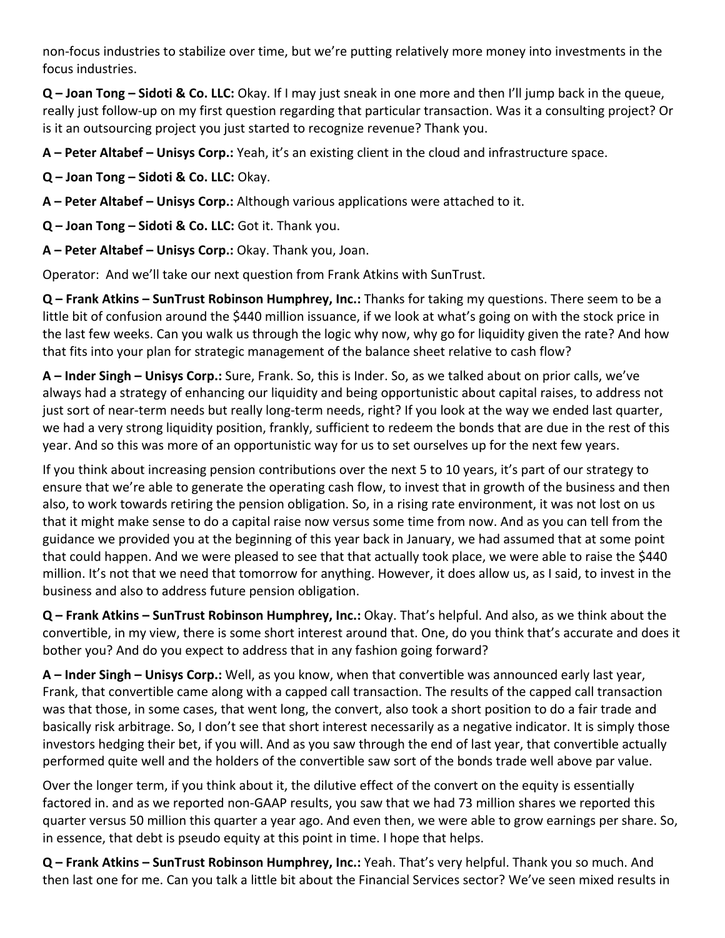non‐focus industries to stabilize over time, but we're putting relatively more money into investments in the focus industries.

**Q – Joan Tong – Sidoti & Co. LLC:** Okay. If I may just sneak in one more and then I'll jump back in the queue, really just follow‐up on my first question regarding that particular transaction. Was it a consulting project? Or is it an outsourcing project you just started to recognize revenue? Thank you.

**A – Peter Altabef – Unisys Corp.:** Yeah, it's an existing client in the cloud and infrastructure space.

**Q – Joan Tong – Sidoti & Co. LLC:** Okay.

**A – Peter Altabef – Unisys Corp.:** Although various applications were attached to it.

**Q – Joan Tong – Sidoti & Co. LLC:** Got it. Thank you.

**A – Peter Altabef – Unisys Corp.:** Okay. Thank you, Joan.

Operator: And we'll take our next question from Frank Atkins with SunTrust.

**Q – Frank Atkins – SunTrust Robinson Humphrey, Inc.:** Thanks for taking my questions. There seem to be a little bit of confusion around the \$440 million issuance, if we look at what's going on with the stock price in the last few weeks. Can you walk us through the logic why now, why go for liquidity given the rate? And how that fits into your plan for strategic management of the balance sheet relative to cash flow?

**A – Inder Singh – Unisys Corp.:** Sure, Frank. So, this is Inder. So, as we talked about on prior calls, we've always had a strategy of enhancing our liquidity and being opportunistic about capital raises, to address not just sort of near-term needs but really long-term needs, right? If you look at the way we ended last quarter, we had a very strong liquidity position, frankly, sufficient to redeem the bonds that are due in the rest of this year. And so this was more of an opportunistic way for us to set ourselves up for the next few years.

If you think about increasing pension contributions over the next 5 to 10 years, it's part of our strategy to ensure that we're able to generate the operating cash flow, to invest that in growth of the business and then also, to work towards retiring the pension obligation. So, in a rising rate environment, it was not lost on us that it might make sense to do a capital raise now versus some time from now. And as you can tell from the guidance we provided you at the beginning of this year back in January, we had assumed that at some point that could happen. And we were pleased to see that that actually took place, we were able to raise the \$440 million. It's not that we need that tomorrow for anything. However, it does allow us, as I said, to invest in the business and also to address future pension obligation.

**Q – Frank Atkins – SunTrust Robinson Humphrey, Inc.:** Okay. That's helpful. And also, as we think about the convertible, in my view, there is some short interest around that. One, do you think that's accurate and does it bother you? And do you expect to address that in any fashion going forward?

**A – Inder Singh – Unisys Corp.:** Well, as you know, when that convertible was announced early last year, Frank, that convertible came along with a capped call transaction. The results of the capped call transaction was that those, in some cases, that went long, the convert, also took a short position to do a fair trade and basically risk arbitrage. So, I don't see that short interest necessarily as a negative indicator. It is simply those investors hedging their bet, if you will. And as you saw through the end of last year, that convertible actually performed quite well and the holders of the convertible saw sort of the bonds trade well above par value.

Over the longer term, if you think about it, the dilutive effect of the convert on the equity is essentially factored in. and as we reported non‐GAAP results, you saw that we had 73 million shares we reported this quarter versus 50 million this quarter a year ago. And even then, we were able to grow earnings per share. So, in essence, that debt is pseudo equity at this point in time. I hope that helps.

**Q – Frank Atkins – SunTrust Robinson Humphrey, Inc.:** Yeah. That's very helpful. Thank you so much. And then last one for me. Can you talk a little bit about the Financial Services sector? We've seen mixed results in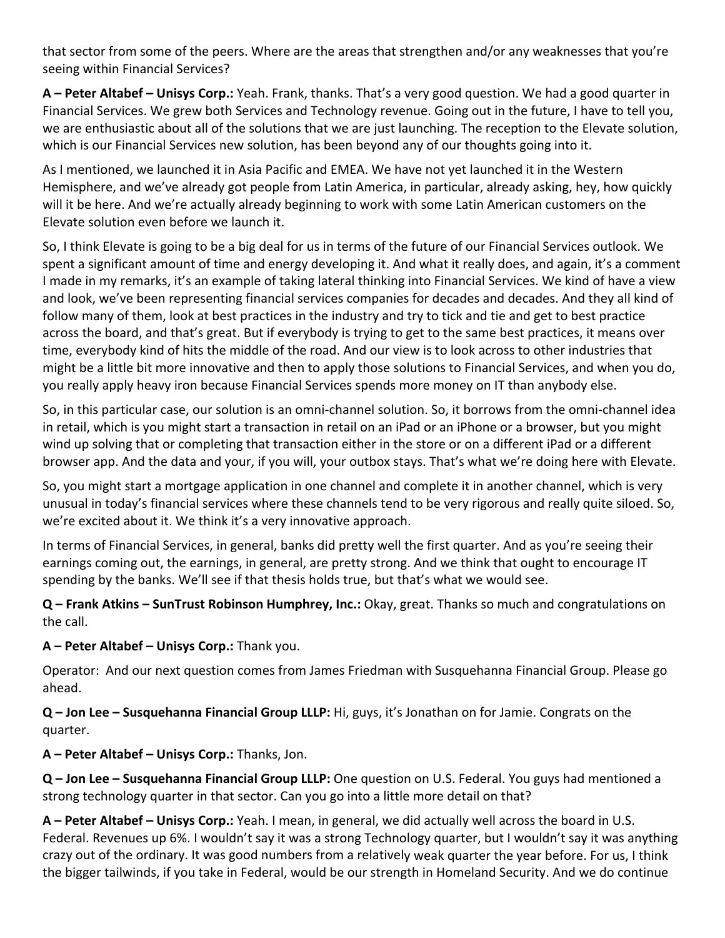that sector from some of the peers. Where are the areas that strengthen and/or any weaknesses that you're seeing within Financial Services?

**A – Peter Altabef – Unisys Corp.:** Yeah. Frank, thanks. That's a very good question. We had a good quarter in Financial Services. We grew both Services and Technology revenue. Going out in the future, I have to tell you, we are enthusiastic about all of the solutions that we are just launching. The reception to the Elevate solution, which is our Financial Services new solution, has been beyond any of our thoughts going into it.

As I mentioned, we launched it in Asia Pacific and EMEA. We have not yet launched it in the Western Hemisphere, and we've already got people from Latin America, in particular, already asking, hey, how quickly will it be here. And we're actually already beginning to work with some Latin American customers on the Elevate solution even before we launch it.

So, I think Elevate is going to be a big deal for us in terms of the future of our Financial Services outlook. We spent a significant amount of time and energy developing it. And what it really does, and again, it's a comment I made in my remarks, it's an example of taking lateral thinking into Financial Services. We kind of have a view and look, we've been representing financial services companies for decades and decades. And they all kind of follow many of them, look at best practices in the industry and try to tick and tie and get to best practice across the board, and that's great. But if everybody is trying to get to the same best practices, it means over time, everybody kind of hits the middle of the road. And our view is to look across to other industries that might be a little bit more innovative and then to apply those solutions to Financial Services, and when you do, you really apply heavy iron because Financial Services spends more money on IT than anybody else.

So, in this particular case, our solution is an omni-channel solution. So, it borrows from the omni-channel idea in retail, which is you might start a transaction in retail on an iPad or an iPhone or a browser, but you might wind up solving that or completing that transaction either in the store or on a different iPad or a different browser app. And the data and your, if you will, your outbox stays. That's what we're doing here with Elevate.

So, you might start a mortgage application in one channel and complete it in another channel, which is very unusual in today's financial services where these channels tend to be very rigorous and really quite siloed. So, we're excited about it. We think it's a very innovative approach.

In terms of Financial Services, in general, banks did pretty well the first quarter. And as you're seeing their earnings coming out, the earnings, in general, are pretty strong. And we think that ought to encourage IT spending by the banks. We'll see if that thesis holds true, but that's what we would see.

**Q – Frank Atkins – SunTrust Robinson Humphrey, Inc.:** Okay, great. Thanks so much and congratulations on the call.

**A – Peter Altabef – Unisys Corp.:** Thank you.

Operator: And our next question comes from James Friedman with Susquehanna Financial Group. Please go ahead.

**Q – Jon Lee – Susquehanna Financial Group LLLP:** Hi, guys, it's Jonathan on for Jamie. Congrats on the quarter.

**A – Peter Altabef – Unisys Corp.:** Thanks, Jon.

**Q – Jon Lee – Susquehanna Financial Group LLLP:** One question on U.S. Federal. You guys had mentioned a strong technology quarter in that sector. Can you go into a little more detail on that?

**A – Peter Altabef – Unisys Corp.:** Yeah. I mean, in general, we did actually well across the board in U.S. Federal. Revenues up 6%. I wouldn't say it was a strong Technology quarter, but I wouldn't say it was anything crazy out of the ordinary. It was good numbers from a relatively weak quarter the year before. For us, I think the bigger tailwinds, if you take in Federal, would be our strength in Homeland Security. And we do continue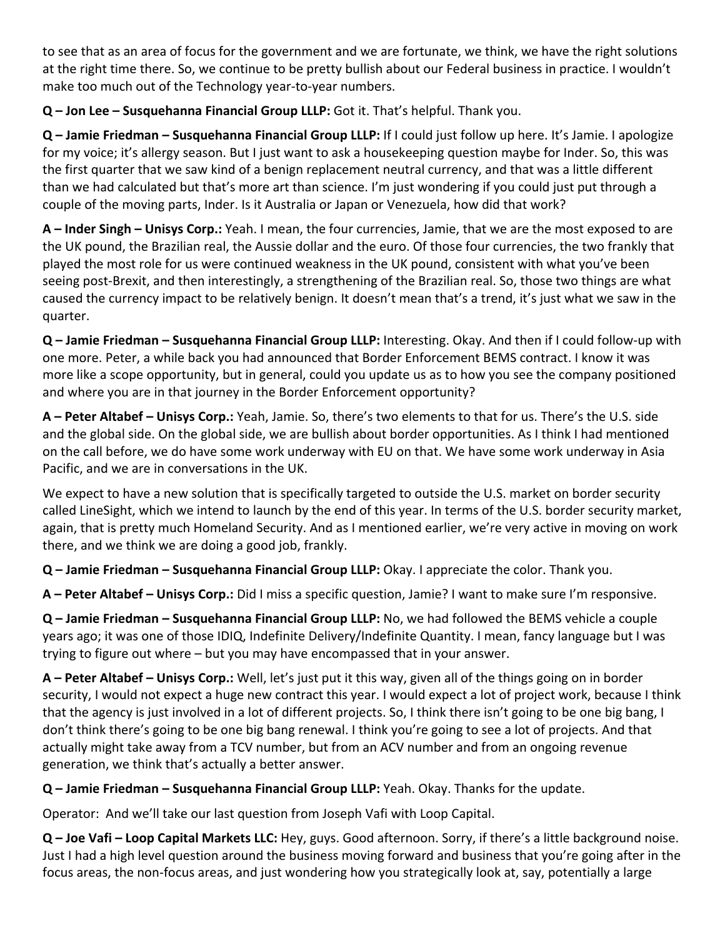to see that as an area of focus for the government and we are fortunate, we think, we have the right solutions at the right time there. So, we continue to be pretty bullish about our Federal business in practice. I wouldn't make too much out of the Technology year-to-year numbers.

**Q – Jon Lee – Susquehanna Financial Group LLLP:** Got it. That's helpful. Thank you.

**Q – Jamie Friedman – Susquehanna Financial Group LLLP:** If I could just follow up here. It's Jamie. I apologize for my voice; it's allergy season. But I just want to ask a housekeeping question maybe for Inder. So, this was the first quarter that we saw kind of a benign replacement neutral currency, and that was a little different than we had calculated but that's more art than science. I'm just wondering if you could just put through a couple of the moving parts, Inder. Is it Australia or Japan or Venezuela, how did that work?

**A – Inder Singh – Unisys Corp.:** Yeah. I mean, the four currencies, Jamie, that we are the most exposed to are the UK pound, the Brazilian real, the Aussie dollar and the euro. Of those four currencies, the two frankly that played the most role for us were continued weakness in the UK pound, consistent with what you've been seeing post‐Brexit, and then interestingly, a strengthening of the Brazilian real. So, those two things are what caused the currency impact to be relatively benign. It doesn't mean that's a trend, it's just what we saw in the quarter.

**Q – Jamie Friedman – Susquehanna Financial Group LLLP:** Interesting. Okay. And then if I could follow‐up with one more. Peter, a while back you had announced that Border Enforcement BEMS contract. I know it was more like a scope opportunity, but in general, could you update us as to how you see the company positioned and where you are in that journey in the Border Enforcement opportunity?

**A – Peter Altabef – Unisys Corp.:** Yeah, Jamie. So, there's two elements to that for us. There's the U.S. side and the global side. On the global side, we are bullish about border opportunities. As I think I had mentioned on the call before, we do have some work underway with EU on that. We have some work underway in Asia Pacific, and we are in conversations in the UK.

We expect to have a new solution that is specifically targeted to outside the U.S. market on border security called LineSight, which we intend to launch by the end of this year. In terms of the U.S. border security market, again, that is pretty much Homeland Security. And as I mentioned earlier, we're very active in moving on work there, and we think we are doing a good job, frankly.

**Q – Jamie Friedman – Susquehanna Financial Group LLLP:** Okay. I appreciate the color. Thank you.

**A – Peter Altabef – Unisys Corp.:** Did I miss a specific question, Jamie? I want to make sure I'm responsive.

**Q – Jamie Friedman – Susquehanna Financial Group LLLP:** No, we had followed the BEMS vehicle a couple years ago; it was one of those IDIQ, Indefinite Delivery/Indefinite Quantity. I mean, fancy language but I was trying to figure out where – but you may have encompassed that in your answer.

**A – Peter Altabef – Unisys Corp.:** Well, let's just put it this way, given all of the things going on in border security, I would not expect a huge new contract this year. I would expect a lot of project work, because I think that the agency is just involved in a lot of different projects. So, I think there isn't going to be one big bang, I don't think there's going to be one big bang renewal. I think you're going to see a lot of projects. And that actually might take away from a TCV number, but from an ACV number and from an ongoing revenue generation, we think that's actually a better answer.

**Q – Jamie Friedman – Susquehanna Financial Group LLLP:** Yeah. Okay. Thanks for the update.

Operator: And we'll take our last question from Joseph Vafi with Loop Capital.

**Q – Joe Vafi – Loop Capital Markets LLC:** Hey, guys. Good afternoon. Sorry, if there's a little background noise. Just I had a high level question around the business moving forward and business that you're going after in the focus areas, the non-focus areas, and just wondering how you strategically look at, say, potentially a large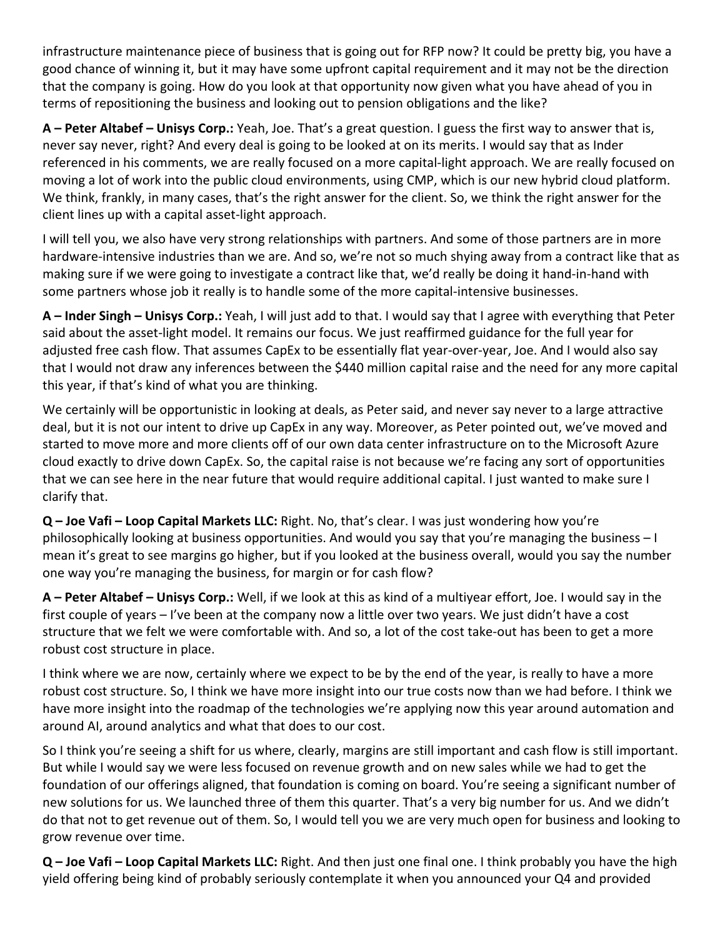infrastructure maintenance piece of business that is going out for RFP now? It could be pretty big, you have a good chance of winning it, but it may have some upfront capital requirement and it may not be the direction that the company is going. How do you look at that opportunity now given what you have ahead of you in terms of repositioning the business and looking out to pension obligations and the like?

**A – Peter Altabef – Unisys Corp.:** Yeah, Joe. That's a great question. I guess the first way to answer that is, never say never, right? And every deal is going to be looked at on its merits. I would say that as Inder referenced in his comments, we are really focused on a more capital‐light approach. We are really focused on moving a lot of work into the public cloud environments, using CMP, which is our new hybrid cloud platform. We think, frankly, in many cases, that's the right answer for the client. So, we think the right answer for the client lines up with a capital asset‐light approach.

I will tell you, we also have very strong relationships with partners. And some of those partners are in more hardware‐intensive industries than we are. And so, we're not so much shying away from a contract like that as making sure if we were going to investigate a contract like that, we'd really be doing it hand‐in‐hand with some partners whose job it really is to handle some of the more capital-intensive businesses.

**A – Inder Singh – Unisys Corp.:** Yeah, I will just add to that. I would say that I agree with everything that Peter said about the asset‐light model. It remains our focus. We just reaffirmed guidance for the full year for adjusted free cash flow. That assumes CapEx to be essentially flat year‐over‐year, Joe. And I would also say that I would not draw any inferences between the \$440 million capital raise and the need for any more capital this year, if that's kind of what you are thinking.

We certainly will be opportunistic in looking at deals, as Peter said, and never say never to a large attractive deal, but it is not our intent to drive up CapEx in any way. Moreover, as Peter pointed out, we've moved and started to move more and more clients off of our own data center infrastructure on to the Microsoft Azure cloud exactly to drive down CapEx. So, the capital raise is not because we're facing any sort of opportunities that we can see here in the near future that would require additional capital. I just wanted to make sure I clarify that.

**Q – Joe Vafi – Loop Capital Markets LLC:** Right. No, that's clear. I was just wondering how you're philosophically looking at business opportunities. And would you say that you're managing the business – I mean it's great to see margins go higher, but if you looked at the business overall, would you say the number one way you're managing the business, for margin or for cash flow?

**A – Peter Altabef – Unisys Corp.:** Well, if we look at this as kind of a multiyear effort, Joe. I would say in the first couple of years – I've been at the company now a little over two years. We just didn't have a cost structure that we felt we were comfortable with. And so, a lot of the cost take‐out has been to get a more robust cost structure in place.

I think where we are now, certainly where we expect to be by the end of the year, is really to have a more robust cost structure. So, I think we have more insight into our true costs now than we had before. I think we have more insight into the roadmap of the technologies we're applying now this year around automation and around AI, around analytics and what that does to our cost.

So I think you're seeing a shift for us where, clearly, margins are still important and cash flow is still important. But while I would say we were less focused on revenue growth and on new sales while we had to get the foundation of our offerings aligned, that foundation is coming on board. You're seeing a significant number of new solutions for us. We launched three of them this quarter. That's a very big number for us. And we didn't do that not to get revenue out of them. So, I would tell you we are very much open for business and looking to grow revenue over time.

**Q – Joe Vafi – Loop Capital Markets LLC:** Right. And then just one final one. I think probably you have the high yield offering being kind of probably seriously contemplate it when you announced your Q4 and provided